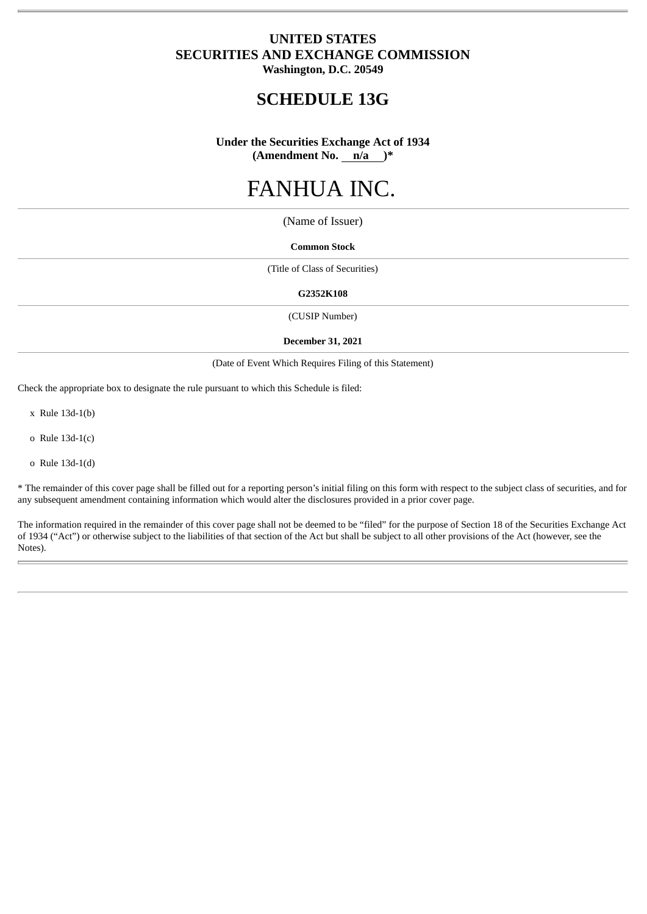# **UNITED STATES SECURITIES AND EXCHANGE COMMISSION Washington, D.C. 20549**

**SCHEDULE 13G**

**Under the Securities Exchange Act of 1934 (Amendment No. n/a )\***

# FANHUA INC.

(Name of Issuer)

## **Common Stock**

(Title of Class of Securities)

#### **G2352K108**

(CUSIP Number)

#### **December 31, 2021**

(Date of Event Which Requires Filing of this Statement)

Check the appropriate box to designate the rule pursuant to which this Schedule is filed:

x Rule 13d-1(b)

o Rule 13d-1(c)

o Rule 13d-1(d)

\* The remainder of this cover page shall be filled out for a reporting person's initial filing on this form with respect to the subject class of securities, and for any subsequent amendment containing information which would alter the disclosures provided in a prior cover page.

The information required in the remainder of this cover page shall not be deemed to be "filed" for the purpose of Section 18 of the Securities Exchange Act of 1934 ("Act") or otherwise subject to the liabilities of that section of the Act but shall be subject to all other provisions of the Act (however, see the Notes).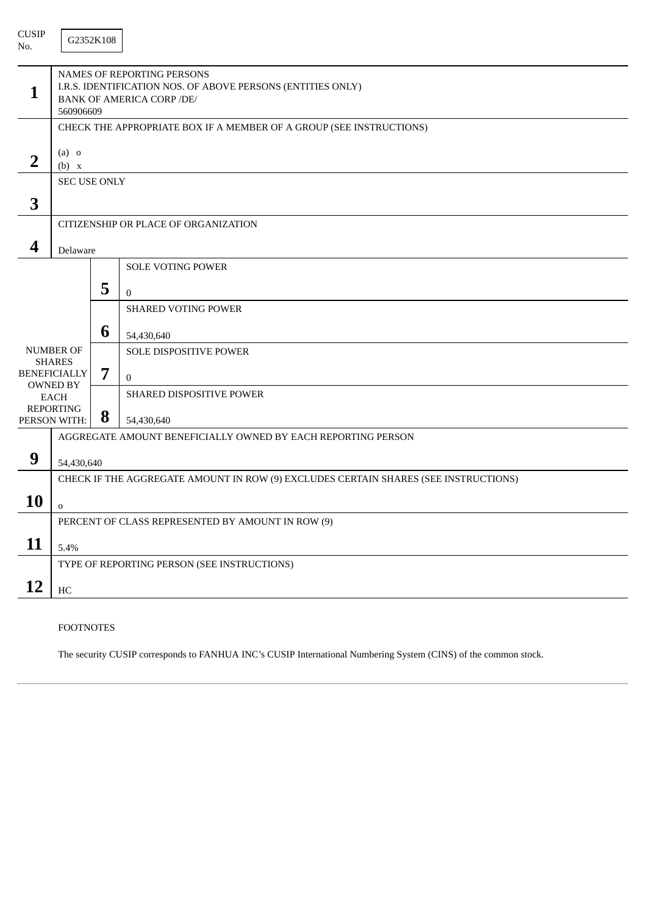| <b>CUSIP</b><br>No. |                                                                                                                                            | G2352K108 |                                                                     |  |  |  |  |
|---------------------|--------------------------------------------------------------------------------------------------------------------------------------------|-----------|---------------------------------------------------------------------|--|--|--|--|
| 1                   | NAMES OF REPORTING PERSONS<br>I.R.S. IDENTIFICATION NOS. OF ABOVE PERSONS (ENTITIES ONLY)<br><b>BANK OF AMERICA CORP /DE/</b><br>560906609 |           |                                                                     |  |  |  |  |
|                     |                                                                                                                                            |           | CHECK THE APPROPRIATE BOX IF A MEMBER OF A GROUP (SEE INSTRUCTIONS) |  |  |  |  |
| $\overline{2}$      | $(a)$ o<br>(b) x                                                                                                                           |           |                                                                     |  |  |  |  |
|                     | <b>SEC USE ONLY</b>                                                                                                                        |           |                                                                     |  |  |  |  |
| 3                   |                                                                                                                                            |           |                                                                     |  |  |  |  |
|                     |                                                                                                                                            |           | CITIZENSHIP OR PLACE OF ORGANIZATION                                |  |  |  |  |
| 4                   | Delaware                                                                                                                                   |           |                                                                     |  |  |  |  |
|                     |                                                                                                                                            |           | <b>SOLE VOTING POWER</b>                                            |  |  |  |  |
|                     |                                                                                                                                            | 5         | $\overline{0}$                                                      |  |  |  |  |
|                     |                                                                                                                                            |           | <b>SHARED VOTING POWER</b>                                          |  |  |  |  |
|                     |                                                                                                                                            |           |                                                                     |  |  |  |  |
|                     |                                                                                                                                            | 6         | 54,430,640                                                          |  |  |  |  |
|                     | <b>NUMBER OF</b><br><b>SHARES</b>                                                                                                          |           | SOLE DISPOSITIVE POWER                                              |  |  |  |  |
|                     | <b>BENEFICIALLY</b>                                                                                                                        | 7         | $\mathbf{0}$                                                        |  |  |  |  |
|                     | <b>OWNED BY</b><br><b>EACH</b>                                                                                                             |           | SHARED DISPOSITIVE POWER                                            |  |  |  |  |
|                     | <b>REPORTING</b><br>PERSON WITH:                                                                                                           | 8         | 54,430,640                                                          |  |  |  |  |
|                     |                                                                                                                                            |           | AGGREGATE AMOUNT BENEFICIALLY OWNED BY EACH REPORTING PERSON        |  |  |  |  |
| 9                   |                                                                                                                                            |           |                                                                     |  |  |  |  |
|                     | 54,430,640                                                                                                                                 |           |                                                                     |  |  |  |  |
|                     | CHECK IF THE AGGREGATE AMOUNT IN ROW (9) EXCLUDES CERTAIN SHARES (SEE INSTRUCTIONS)                                                        |           |                                                                     |  |  |  |  |
| <b>10</b>           | $\mathbf 0$                                                                                                                                |           |                                                                     |  |  |  |  |
|                     | PERCENT OF CLASS REPRESENTED BY AMOUNT IN ROW (9)                                                                                          |           |                                                                     |  |  |  |  |
| 11                  | 5.4%                                                                                                                                       |           |                                                                     |  |  |  |  |
|                     |                                                                                                                                            |           | TYPE OF REPORTING PERSON (SEE INSTRUCTIONS)                         |  |  |  |  |
| 12                  | $\rm HC$                                                                                                                                   |           |                                                                     |  |  |  |  |
|                     |                                                                                                                                            |           |                                                                     |  |  |  |  |

# FOOTNOTES

The security CUSIP corresponds to FANHUA INC's CUSIP International Numbering System (CINS) of the common stock.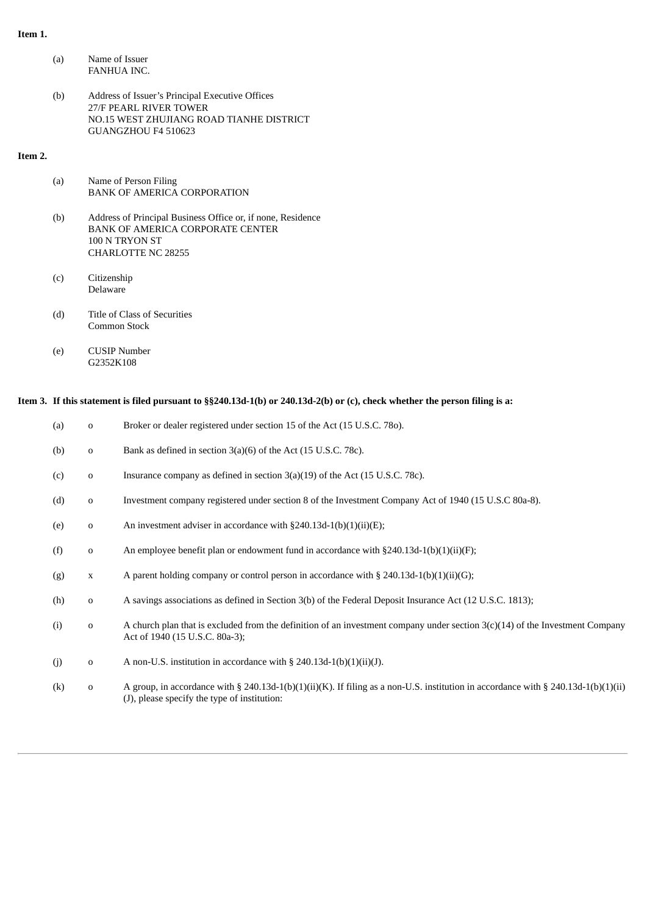## **Item 1.**

| (a) | Name of Issuer |
|-----|----------------|
|     | FANHUA INC.    |

(b) Address of Issuer's Principal Executive Offices 27/F PEARL RIVER TOWER NO.15 WEST ZHUJIANG ROAD TIANHE DISTRICT GUANGZHOU F4 510623

# **Item 2.**

| (a) | Name of Person Filing              |
|-----|------------------------------------|
|     | <b>BANK OF AMERICA CORPORATION</b> |

- (b) Address of Principal Business Office or, if none, Residence BANK OF AMERICA CORPORATE CENTER 100 N TRYON ST CHARLOTTE NC 28255
- (c) Citizenship Delaware
- (d) Title of Class of Securities Common Stock
- (e) CUSIP Number G2352K108

# Item 3. If this statement is filed pursuant to §§240.13d-1(b) or 240.13d-2(b) or (c), check whether the person filing is a:

| (a) | 0           | Broker or dealer registered under section 15 of the Act (15 U.S.C. 780).                                                                                                           |
|-----|-------------|------------------------------------------------------------------------------------------------------------------------------------------------------------------------------------|
| (b) | $\mathbf 0$ | Bank as defined in section $3(a)(6)$ of the Act (15 U.S.C. 78c).                                                                                                                   |
| (c) | $\mathbf 0$ | Insurance company as defined in section $3(a)(19)$ of the Act (15 U.S.C. 78c).                                                                                                     |
| (d) | $\mathbf 0$ | Investment company registered under section 8 of the Investment Company Act of 1940 (15 U.S.C 80a-8).                                                                              |
| (e) | $\mathbf 0$ | An investment adviser in accordance with $\S 240.13d-1(b)(1)(ii)(E);$                                                                                                              |
| (f) | $\mathbf 0$ | An employee benefit plan or endowment fund in accordance with $\S 240.13d-1(b)(1)(ii)(F)$ ;                                                                                        |
| (g) | $\mathbf X$ | A parent holding company or control person in accordance with $\S 240.13d-1(b)(1)(ii)(G);$                                                                                         |
| (h) | $\mathbf 0$ | A savings associations as defined in Section 3(b) of the Federal Deposit Insurance Act (12 U.S.C. 1813);                                                                           |
| (i) | $\mathbf 0$ | A church plan that is excluded from the definition of an investment company under section $3(c)(14)$ of the Investment Company<br>Act of 1940 (15 U.S.C. 80a-3);                   |
| (j) | $\mathbf 0$ | A non-U.S. institution in accordance with $\S$ 240.13d-1(b)(1)(ii)(J).                                                                                                             |
| (k) | $\mathbf 0$ | A group, in accordance with § 240.13d-1(b)(1)(ii)(K). If filing as a non-U.S. institution in accordance with § 240.13d-1(b)(1)(ii)<br>(J), please specify the type of institution: |
|     |             |                                                                                                                                                                                    |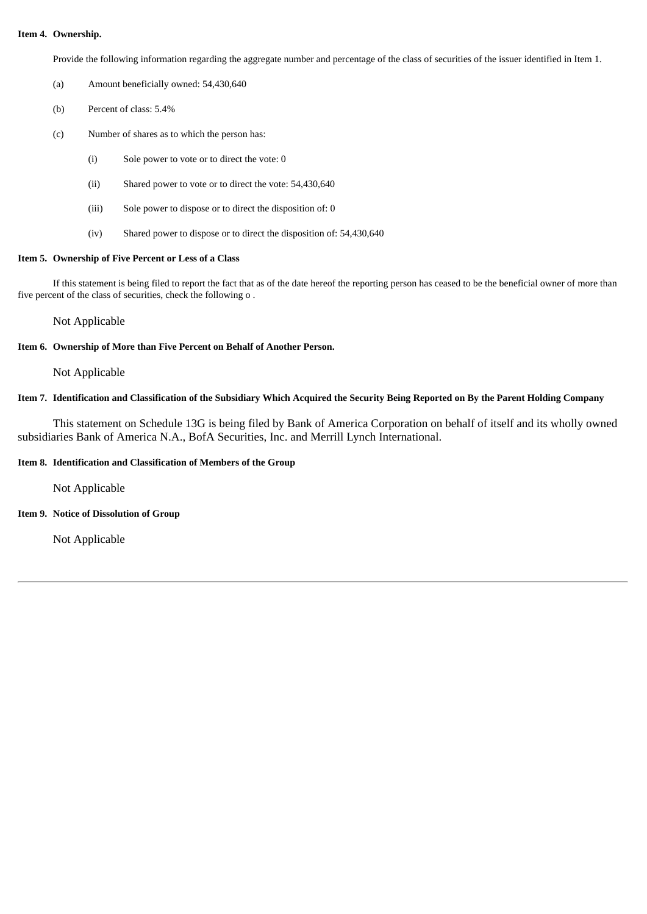## **Item 4. Ownership.**

Provide the following information regarding the aggregate number and percentage of the class of securities of the issuer identified in Item 1.

- (a) Amount beneficially owned: 54,430,640
- (b) Percent of class: 5.4%
- (c) Number of shares as to which the person has:
	- (i) Sole power to vote or to direct the vote: 0
	- (ii) Shared power to vote or to direct the vote: 54,430,640
	- (iii) Sole power to dispose or to direct the disposition of: 0
	- (iv) Shared power to dispose or to direct the disposition of: 54,430,640

## **Item 5. Ownership of Five Percent or Less of a Class**

If this statement is being filed to report the fact that as of the date hereof the reporting person has ceased to be the beneficial owner of more than five percent of the class of securities, check the following o .

Not Applicable

## **Item 6. Ownership of More than Five Percent on Behalf of Another Person.**

Not Applicable

# Item 7. Identification and Classification of the Subsidiary Which Acquired the Security Being Reported on By the Parent Holding Company

This statement on Schedule 13G is being filed by Bank of America Corporation on behalf of itself and its wholly owned subsidiaries Bank of America N.A., BofA Securities, Inc. and Merrill Lynch International.

## **Item 8. Identification and Classification of Members of the Group**

Not Applicable

**Item 9. Notice of Dissolution of Group**

Not Applicable